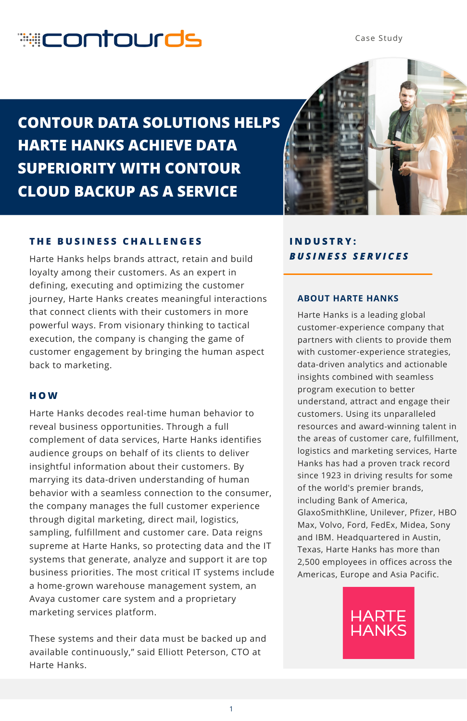# **econtourds**

Case Study

**CONTOUR DATA SOLUTIONS HELPS HARTE HANKS ACHIEVE DATA SUPERIORITY WITH CONTOUR CLOUD BACKUP AS A SERVICE**



# **T H E B U S I N E S S C H A L L E N G E S**

Harte Hanks helps brands attract, retain and build loyalty among their customers. As an expert in defining, executing and optimizing the customer journey, Harte Hanks creates meaningful interactions that connect clients with their customers in more powerful ways. From visionary thinking to tactical execution, the company is changing the game of customer engagement by bringing the human aspect back to marketing.

## **H O W**

Harte Hanks decodes real-time human behavior to reveal business opportunities. Through a full complement of data services, Harte Hanks identifies audience groups on behalf of its clients to deliver insightful information about their customers. By marrying its data-driven understanding of human behavior with a seamless connection to the consumer, the company manages the full customer experience through digital marketing, direct mail, logistics, sampling, fulfillment and customer care. Data reigns supreme at Harte Hanks, so protecting data and the IT systems that generate, analyze and support it are top business priorities. The most critical IT systems include a home-grown warehouse management system, an Avaya customer care system and a proprietary marketing services platform.

These systems and their data must be backed up and available continuously," said Elliott Peterson, CTO at Harte Hanks.

# **I N D U S T R Y :** *B U S I N E S S S E R V I C E S*

### **ABOUT HARTE HANKS**

Harte Hanks is a leading global customer-experience company that partners with clients to provide them with customer-experience strategies, data-driven analytics and actionable insights combined with seamless program execution to better understand, attract and engage their customers. Using its unparalleled resources and award-winning talent in the areas of customer care, fulfillment, logistics and marketing services, Harte Hanks has had a proven track record since 1923 in driving results for some of the world's premier brands, including Bank of America, GlaxoSmithKline, Unilever, Pfizer, HBO Max, Volvo, Ford, FedEx, Midea, Sony and IBM. Headquartered in Austin, Texas, Harte Hanks has more than 2,500 employees in offices across the Americas, Europe and Asia Pacific.

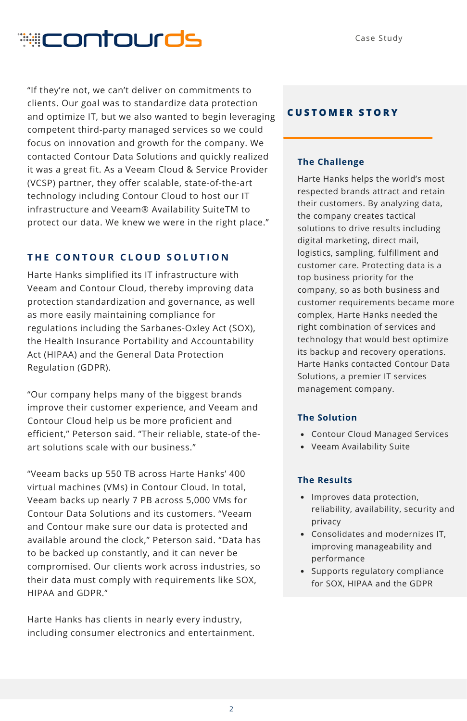# **econtourds**

"If they're not, we can't deliver on commitments to clients. Our goal was to standardize data protection and optimize IT, but we also wanted to begin leveraging competent third-party managed services so we could focus on innovation and growth for the company. We contacted Contour Data Solutions and quickly realized it was a great fit. As a Veeam Cloud & Service Provider (VCSP) partner, they offer scalable, state-of-the-art technology including Contour Cloud to host our IT infrastructure and Veeam® Availability SuiteTM to protect our data. We knew we were in the right place."

## **T H E C O N T O U R C L O U D S O L U T I O N**

Harte Hanks simplified its IT infrastructure with Veeam and Contour Cloud, thereby improving data protection standardization and governance, as well as more easily maintaining compliance for regulations including the Sarbanes-Oxley Act (SOX), the Health Insurance Portability and Accountability Act (HIPAA) and the General Data Protection Regulation (GDPR).

"Our company helps many of the biggest brands improve their customer experience, and Veeam and Contour Cloud help us be more proficient and efficient," Peterson said. "Their reliable, state-of theart solutions scale with our business."

"Veeam backs up 550 TB across Harte Hanks' 400 virtual machines (VMs) in Contour Cloud. In total, Veeam backs up nearly 7 PB across 5,000 VMs for Contour Data Solutions and its customers. "Veeam and Contour make sure our data is protected and available around the clock," Peterson said. "Data has to be backed up constantly, and it can never be compromised. Our clients work across industries, so their data must comply with requirements like SOX, HIPAA and GDPR."

Harte Hanks has clients in nearly every industry, including consumer electronics and entertainment.

### **C U S T O M E R S T O R Y**

#### **The Challenge**

Harte Hanks helps the world's most respected brands attract and retain their customers. By analyzing data, the company creates tactical solutions to drive results including digital marketing, direct mail, logistics, sampling, fulfillment and customer care. Protecting data is a top business priority for the company, so as both business and customer requirements became more complex, Harte Hanks needed the right combination of services and technology that would best optimize its backup and recovery operations. Harte Hanks contacted Contour Data Solutions, a premier IT services management company.

#### **The Solution**

- Contour Cloud Managed Services
- Veeam Availability Suite

#### **The Results**

- Improves data protection, reliability, availability, security and privacy
- Consolidates and modernizes IT, improving manageability and performance
- Supports regulatory compliance for SOX, HIPAA and the GDPR